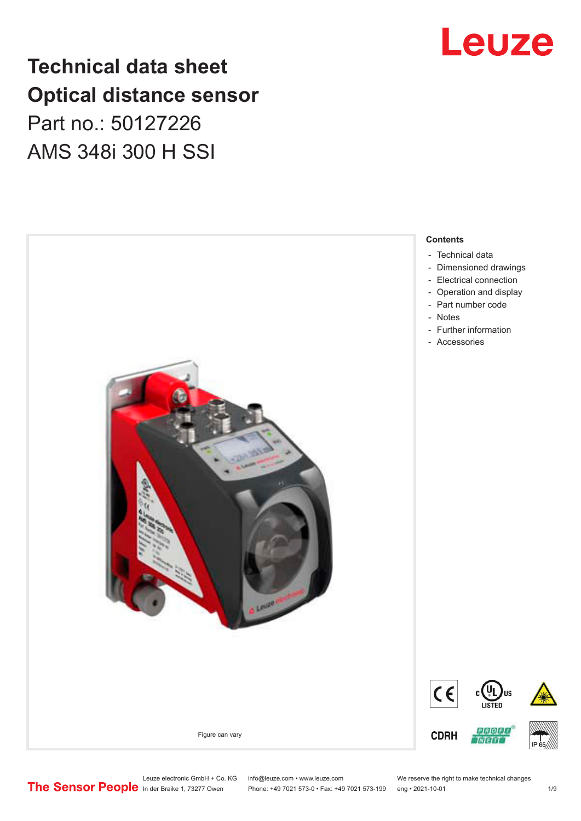## **Technical data sheet Optical distance sensor** Part no.: 50127226 AMS 348i 300 H SSI



Phone: +49 7021 573-0 • Fax: +49 7021 573-199 eng • 2021-10-01 1 2021



# Leuze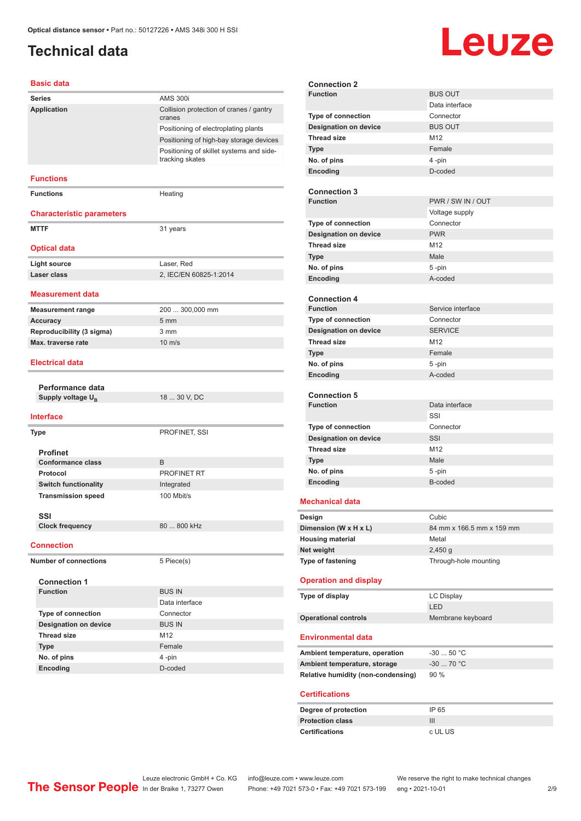## <span id="page-1-0"></span>**Technical data**

# Leuze

#### **Basic data**

| Series                           | <b>AMS 300i</b>                                             |
|----------------------------------|-------------------------------------------------------------|
| Application                      | Collision protection of cranes / gantry<br>cranes           |
|                                  | Positioning of electroplating plants                        |
|                                  | Positioning of high-bay storage devices                     |
|                                  | Positioning of skillet systems and side-<br>tracking skates |
| <b>Functions</b>                 |                                                             |
| <b>Functions</b>                 | Heating                                                     |
| <b>Characteristic parameters</b> |                                                             |
| <b>MTTF</b>                      | 31 years                                                    |
| <b>Optical data</b>              |                                                             |
| <b>Light source</b>              | Laser, Red                                                  |
| Laser class                      | 2, IEC/EN 60825-1:2014                                      |
|                                  |                                                             |
| <b>Measurement data</b>          |                                                             |
| <b>Measurement range</b>         | 200  300,000 mm                                             |
| <b>Accuracy</b>                  | 5 <sub>mm</sub>                                             |
| Reproducibility (3 sigma)        | 3 <sub>mm</sub>                                             |
| Max. traverse rate               | $10 \text{ m/s}$                                            |
| <b>Electrical data</b>           |                                                             |
|                                  |                                                             |
| Performance data                 |                                                             |
| Supply voltage $U_{B}$           | 18  30 V, DC                                                |
| <b>Interface</b>                 |                                                             |
| Type                             | PROFINET, SSI                                               |
| <b>Profinet</b>                  |                                                             |
| <b>Conformance class</b>         | B                                                           |
| Protocol                         |                                                             |
| <b>Switch functionality</b>      | PROFINET RT                                                 |
|                                  | Integrated                                                  |
| <b>Transmission speed</b>        | 100 Mbit/s                                                  |
| SSI                              |                                                             |
| <b>Clock frequency</b>           | 80  800 kHz                                                 |
| <b>Connection</b>                |                                                             |
| <b>Number of connections</b>     | 5 Piece(s)                                                  |
| <b>Connection 1</b>              |                                                             |
| <b>Function</b>                  | <b>BUS IN</b>                                               |
|                                  | Data interface                                              |
| Type of connection               | Connector                                                   |
| <b>Designation on device</b>     | <b>BUS IN</b>                                               |
| <b>Thread size</b>               | M12                                                         |
| <b>Type</b>                      | Female                                                      |
| No. of pins<br>Encoding          | 4-pin<br>D-coded                                            |

| <b>Connection 2</b>                              |                           |
|--------------------------------------------------|---------------------------|
| <b>Function</b>                                  | <b>BUS OUT</b>            |
|                                                  | Data interface            |
| <b>Type of connection</b>                        | Connector                 |
| <b>Designation on device</b>                     | <b>BUS OUT</b>            |
| <b>Thread size</b>                               | M <sub>12</sub>           |
| <b>Type</b>                                      | Female                    |
| No. of pins                                      | 4-pin                     |
| Encoding                                         | D-coded                   |
|                                                  |                           |
| <b>Connection 3</b>                              |                           |
| <b>Function</b>                                  | PWR / SW IN / OUT         |
|                                                  | Voltage supply            |
| <b>Type of connection</b>                        | Connector                 |
|                                                  | <b>PWR</b>                |
| <b>Designation on device</b>                     |                           |
| <b>Thread size</b>                               | M <sub>12</sub>           |
| <b>Type</b>                                      | Male                      |
| No. of pins                                      | 5-pin                     |
| Encoding                                         | A-coded                   |
|                                                  |                           |
| <b>Connection 4</b>                              |                           |
| <b>Function</b>                                  | Service interface         |
| <b>Type of connection</b>                        | Connector                 |
| <b>Designation on device</b>                     | <b>SERVICE</b>            |
| <b>Thread size</b>                               | M <sub>12</sub>           |
| Type                                             | Female                    |
| No. of pins                                      | 5-pin                     |
| Encoding                                         | A-coded                   |
|                                                  |                           |
| <b>Connection 5</b>                              |                           |
|                                                  |                           |
| <b>Function</b>                                  | Data interface            |
|                                                  | SSI                       |
| Type of connection                               | Connector                 |
| <b>Designation on device</b>                     | SSI                       |
| <b>Thread size</b>                               | M <sub>12</sub>           |
| <b>Type</b>                                      | Male                      |
| No. of pins                                      |                           |
|                                                  | 5-pin<br>B-coded          |
| Encoding                                         |                           |
| <b>Mechanical data</b>                           |                           |
|                                                  |                           |
| Design                                           | Cubic                     |
| Dimension (W x H x L)                            | 84 mm x 166.5 mm x 159 mm |
| <b>Housing material</b>                          | Metal                     |
| Net weight                                       | $2,450$ g                 |
| Type of fastening                                | Through-hole mounting     |
|                                                  |                           |
| <b>Operation and display</b>                     |                           |
| Type of display                                  | <b>LC Display</b>         |
|                                                  | LED                       |
| <b>Operational controls</b>                      | Membrane keyboard         |
|                                                  |                           |
| <b>Environmental data</b>                        |                           |
|                                                  | $-3050 °C$                |
| Ambient temperature, operation                   |                           |
| Ambient temperature, storage                     | $-30$ 70 °C               |
| Relative humidity (non-condensing)               | 90 %                      |
| <b>Certifications</b>                            |                           |
|                                                  |                           |
| Degree of protection                             | IP 65                     |
| <b>Protection class</b><br><b>Certifications</b> | Ш<br>c UL US              |

Leuze electronic GmbH + Co. KG info@leuze.com • www.leuze.com We reserve the right to make technical changes

In der Braike 1, 73277 Owen Phone: +49 7021 573-0 • Fax: +49 7021 573-199 eng • 2021-10-01 2 /9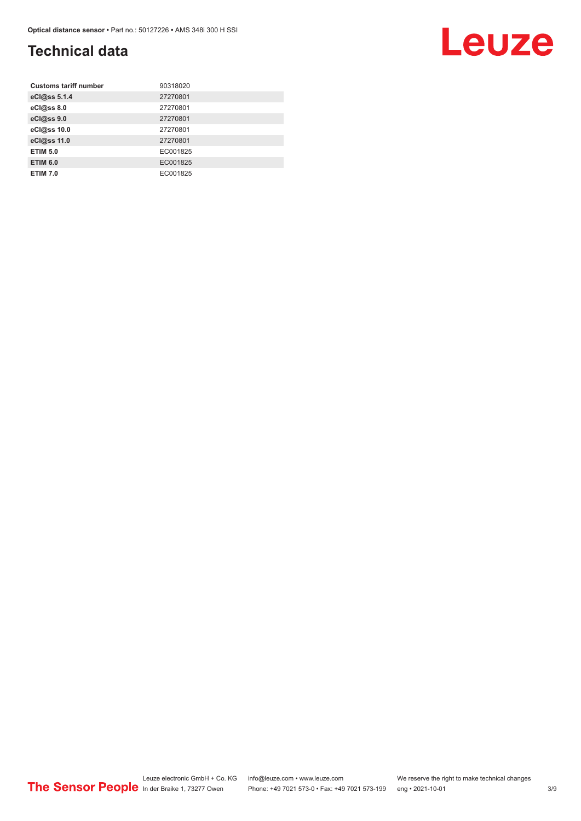## **Technical data**

| <b>Customs tariff number</b> | 90318020 |
|------------------------------|----------|
| eCl@ss 5.1.4                 | 27270801 |
| eCl@ss 8.0                   | 27270801 |
| eCl@ss 9.0                   | 27270801 |
| eCl@ss 10.0                  | 27270801 |
| eCl@ss 11.0                  | 27270801 |
| <b>ETIM 5.0</b>              | EC001825 |
| <b>ETIM 6.0</b>              | EC001825 |
| <b>ETIM 7.0</b>              | EC001825 |

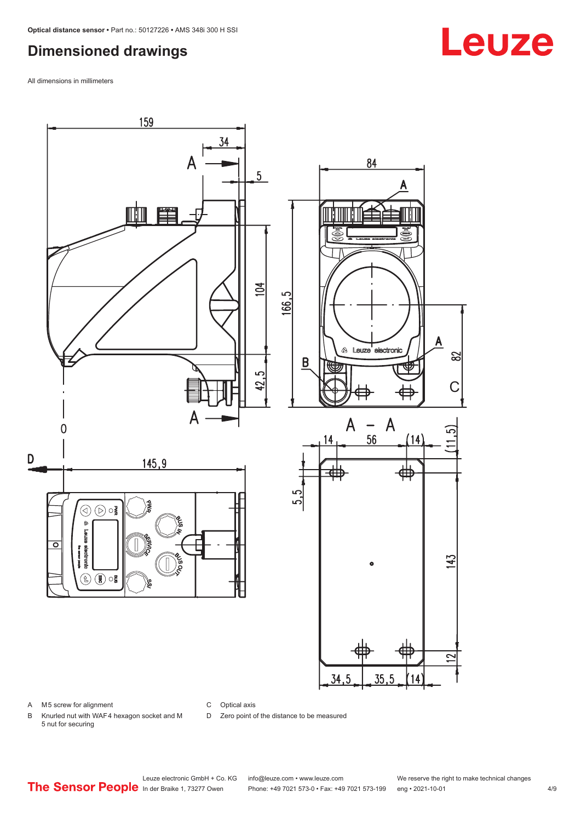## <span id="page-3-0"></span>**Dimensioned drawings**

All dimensions in millimeters



A M5 screw for alignment

C Optical axis

D Zero point of the distance to be measured

B Knurled nut with WAF 4 hexagon socket and M 5 nut for securing

# Leuze

Phone: +49 7021 573-0 • Fax: +49 7021 573-199 eng • 2021-10-01 4/9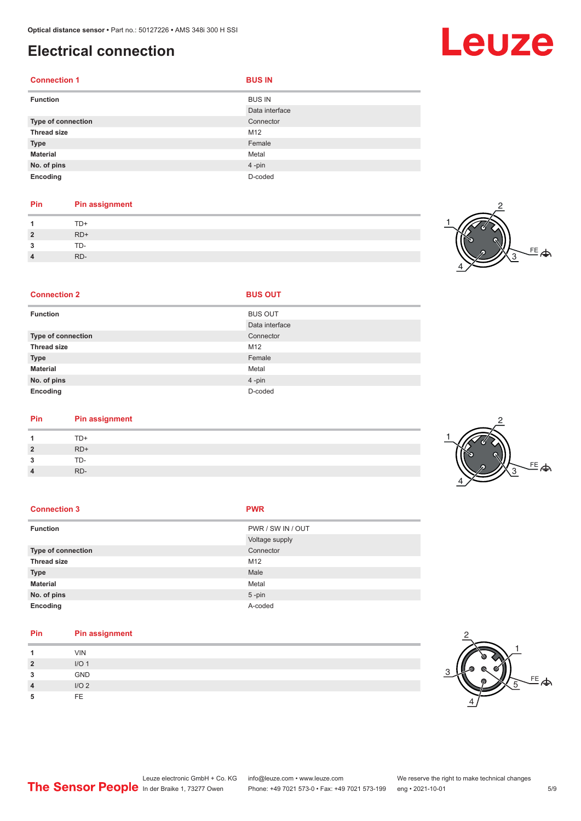## <span id="page-4-0"></span>**Electrical connection**

| <b>Connection 1</b> | <b>BUS IN</b>  |
|---------------------|----------------|
| <b>Function</b>     | <b>BUS IN</b>  |
|                     | Data interface |
| Type of connection  | Connector      |
| <b>Thread size</b>  | M12            |
| <b>Type</b>         | Female         |
| <b>Material</b>     | Metal          |
| No. of pins         | 4-pin          |
| Encoding            | D-coded        |

#### **Pin Pin assignment** 1 TD+<br>2 RD+ **2** RD+ **3** TD-**4** RD-

**Connection 2 BUS OUT** 



| <b>Function</b>    | <b>BUS OUT</b> |
|--------------------|----------------|
|                    | Data interface |
| Type of connection | Connector      |
| <b>Thread size</b> | M12            |
| <b>Type</b>        | Female         |
| <b>Material</b>    | Metal          |
| No. of pins        | 4-pin          |
| Encoding           | D-coded        |

| Pin | <b>Pin assignment</b> |  |  |
|-----|-----------------------|--|--|
|     | TD+                   |  |  |

| $\overline{1}$ | TD+ |
|----------------|-----|
| $\overline{2}$ | RD+ |
| 3              | TD- |
| $\overline{4}$ | RD- |

| PWR / SW IN / OUT<br><b>Function</b>   |  |
|----------------------------------------|--|
| Voltage supply                         |  |
| Connector<br><b>Type of connection</b> |  |
| <b>Thread size</b><br>M12              |  |
| Male<br><b>Type</b>                    |  |
| <b>Material</b><br>Metal               |  |
| No. of pins<br>$5 - pin$               |  |
| A-coded<br>Encoding                    |  |

| Pin            | <b>Pin assignment</b> |
|----------------|-----------------------|
|                | <b>VIN</b>            |
| $\overline{2}$ | I/O <sub>1</sub>      |
| 3              | GND                   |
| $\overline{4}$ | I/O <sub>2</sub>      |
| 5              | FE.                   |



2



# Leuze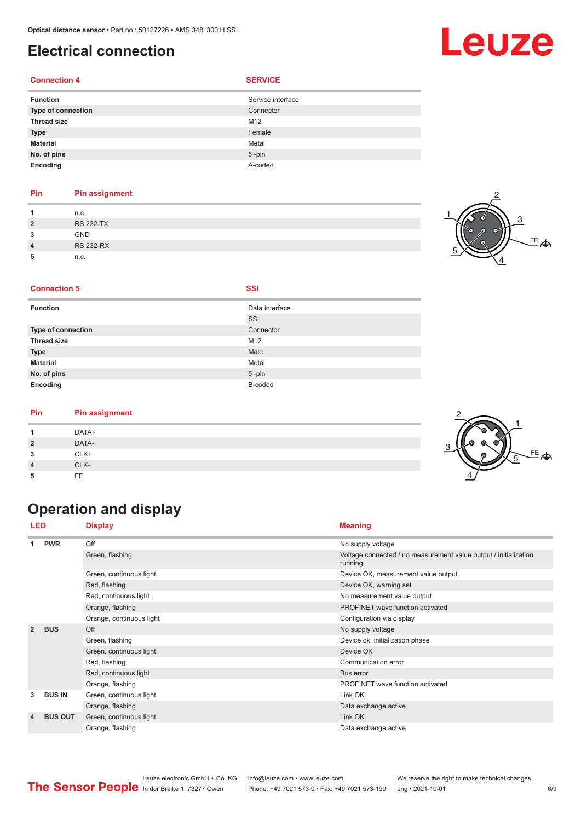## <span id="page-5-0"></span>**Electrical connection**

#### **Connection 4**

|   |  | × |  |
|---|--|---|--|
| ٠ |  |   |  |

| <b>Function</b>    | Service interface |
|--------------------|-------------------|
| Type of connection | Connector         |
| <b>Thread size</b> | M12               |
| <b>Type</b>        | Female            |
| <b>Material</b>    | Metal             |
| No. of pins        | $5$ -pin          |
| Encoding           | A-coded           |

#### **Pin Pin assignment**

|                | n.c.             |  |
|----------------|------------------|--|
| $\overline{2}$ | <b>RS 232-TX</b> |  |
| ໍາ             | <b>GND</b>       |  |
| $\overline{4}$ | <b>RS 232-RX</b> |  |
|                | n.c.             |  |



#### **Connection 5 SSI**

| <b>Function</b>    | Data interface |
|--------------------|----------------|
|                    | SSI            |
| Type of connection | Connector      |
| <b>Thread size</b> | M12            |
| <b>Type</b>        | Male           |
| <b>Material</b>    | Metal          |
| No. of pins        | $5$ -pin       |
| Encoding           | B-coded        |

#### **Pin Pin assignment**

| Pin | Pin assignment |  |
|-----|----------------|--|
|     | DATA+          |  |
| ຳ   | DATA-          |  |
| ∍   | CLK+           |  |
|     | CLK-           |  |
|     | FE             |  |

## **Operation and display**

| <b>LED</b><br><b>Display</b> |                |                          | <b>Meaning</b>                                                              |  |  |
|------------------------------|----------------|--------------------------|-----------------------------------------------------------------------------|--|--|
|                              | <b>PWR</b>     | Off                      | No supply voltage                                                           |  |  |
|                              |                | Green, flashing          | Voltage connected / no measurement value output / initialization<br>running |  |  |
|                              |                | Green, continuous light  | Device OK, measurement value output                                         |  |  |
|                              |                | Red, flashing            | Device OK, warning set                                                      |  |  |
|                              |                | Red, continuous light    | No measurement value output                                                 |  |  |
|                              |                | Orange, flashing         | PROFINET wave function activated                                            |  |  |
|                              |                | Orange, continuous light | Configuration via display                                                   |  |  |
| $\overline{2}$               | <b>BUS</b>     | Off                      | No supply voltage                                                           |  |  |
|                              |                | Green, flashing          | Device ok, initialization phase                                             |  |  |
|                              |                | Green, continuous light  | Device OK                                                                   |  |  |
|                              |                | Red, flashing            | Communication error                                                         |  |  |
|                              |                | Red, continuous light    | Bus error                                                                   |  |  |
|                              |                | Orange, flashing         | PROFINET wave function activated                                            |  |  |
| 3                            | <b>BUS IN</b>  | Green, continuous light  | Link OK                                                                     |  |  |
|                              |                | Orange, flashing         | Data exchange active                                                        |  |  |
| 4                            | <b>BUS OUT</b> | Green, continuous light  | Link OK                                                                     |  |  |
|                              |                | Orange, flashing         | Data exchange active                                                        |  |  |



## Leuze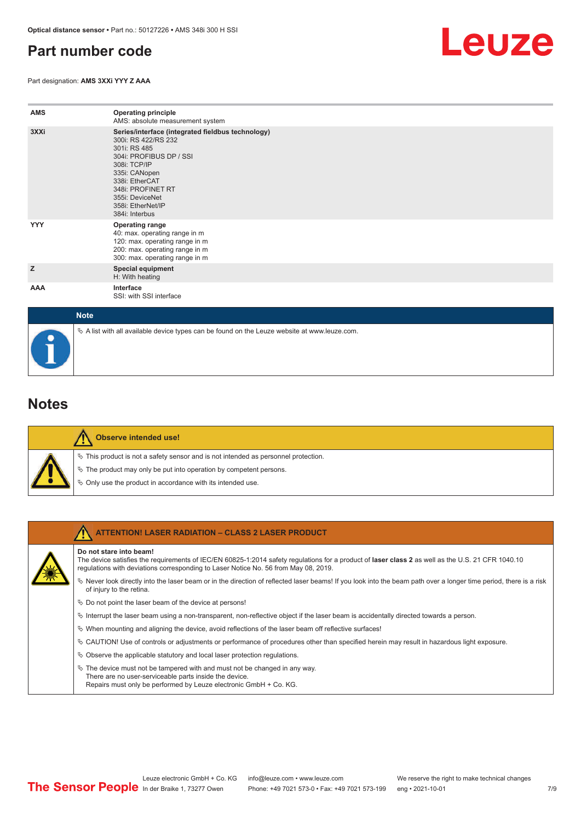#### <span id="page-6-0"></span>**Part number code**

Part designation: **AMS 3XXi YYY Z AAA**



| <b>AMS</b>  | <b>Operating principle</b><br>AMS: absolute measurement system                                                                                                                                                                                        |
|-------------|-------------------------------------------------------------------------------------------------------------------------------------------------------------------------------------------------------------------------------------------------------|
| 3XXi        | Series/interface (integrated fieldbus technology)<br>300i: RS 422/RS 232<br>301i: RS 485<br>304i: PROFIBUS DP / SSI<br>308i: TCP/IP<br>335i: CANopen<br>338i: EtherCAT<br>348i: PROFINET RT<br>355i: DeviceNet<br>358i: EtherNet/IP<br>384i: Interbus |
| <b>YYY</b>  | <b>Operating range</b><br>40: max. operating range in m<br>120: max. operating range in m<br>200: max. operating range in m<br>300: max. operating range in m                                                                                         |
| z           | <b>Special equipment</b><br>H: With heating                                                                                                                                                                                                           |
| AAA         | Interface<br>SSI: with SSI interface                                                                                                                                                                                                                  |
| <b>Note</b> |                                                                                                                                                                                                                                                       |

# $\%$  A list with all available device types can be found on the Leuze website at www.leuze.com.

#### **Notes**

| ۹Ķ |
|----|
| Ď  |
| ٦Ņ |

#### **Observe intended use!**

This product is not a safety sensor and is not intended as personnel protection.

- The product may only be put into operation by competent persons.
- Only use the product in accordance with its intended use.

| <b>ATTENTION! LASER RADIATION - CLASS 2 LASER PRODUCT</b>                                                                                                                                                                                                           |
|---------------------------------------------------------------------------------------------------------------------------------------------------------------------------------------------------------------------------------------------------------------------|
| Do not stare into beam!<br>The device satisfies the requirements of IEC/EN 60825-1:2014 safety requiations for a product of laser class 2 as well as the U.S. 21 CFR 1040.10<br>requlations with deviations corresponding to Laser Notice No. 56 from May 08, 2019. |
| Never look directly into the laser beam or in the direction of reflected laser beams! If you look into the beam path over a longer time period, there is a risk<br>of injury to the retina.                                                                         |
| $\%$ Do not point the laser beam of the device at persons!                                                                                                                                                                                                          |
| $\%$ Interrupt the laser beam using a non-transparent, non-reflective object if the laser beam is accidentally directed towards a person.                                                                                                                           |
| $\%$ When mounting and aligning the device, avoid reflections of the laser beam off reflective surfaces!                                                                                                                                                            |
| $\&$ CAUTION! Use of controls or adjustments or performance of procedures other than specified herein may result in hazardous light exposure.                                                                                                                       |
| $\&$ Observe the applicable statutory and local laser protection regulations.                                                                                                                                                                                       |
| $\&$ The device must not be tampered with and must not be changed in any way.<br>There are no user-serviceable parts inside the device.<br>Repairs must only be performed by Leuze electronic GmbH + Co. KG.                                                        |

7 /9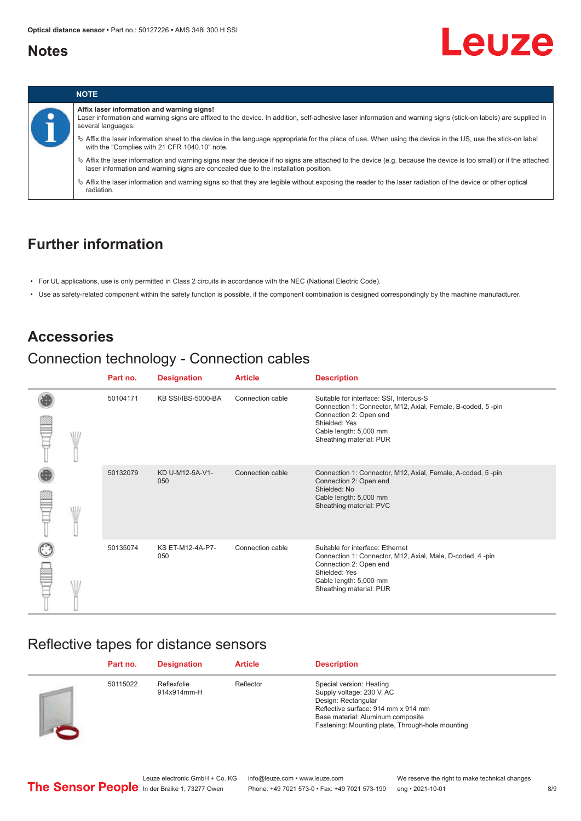#### <span id="page-7-0"></span>**Notes**

# Leuze



#### **Affix laser information and warning signs!**

Laser information and warning signs are affixed to the device. In addition, self-adhesive laser information and warning signs (stick-on labels) are supplied in several languages.

ª Affix the laser information sheet to the device in the language appropriate for the place of use. When using the device in the US, use the stick-on label with the "Complies with 21 CFR 1040.10" note.

ª Affix the laser information and warning signs near the device if no signs are attached to the device (e.g. because the device is too small) or if the attached laser information and warning signs are concealed due to the installation position.

ª Affix the laser information and warning signs so that they are legible without exposing the reader to the laser radiation of the device or other optical radiation.

#### **Further information**

- For UL applications, use is only permitted in Class 2 circuits in accordance with the NEC (National Electric Code).
- Use as safety-related component within the safety function is possible, if the component combination is designed correspondingly by the machine manufacturer.

#### **Accessories**

## Connection technology - Connection cables

|  |   | Part no. | <b>Designation</b>      | <b>Article</b>   | <b>Description</b>                                                                                                                                                                                     |
|--|---|----------|-------------------------|------------------|--------------------------------------------------------------------------------------------------------------------------------------------------------------------------------------------------------|
|  | W | 50104171 | KB SSI/IBS-5000-BA      | Connection cable | Suitable for interface: SSI, Interbus-S<br>Connection 1: Connector, M12, Axial, Female, B-coded, 5-pin<br>Connection 2: Open end<br>Shielded: Yes<br>Cable length: 5,000 mm<br>Sheathing material: PUR |
|  |   | 50132079 | KD U-M12-5A-V1-<br>050  | Connection cable | Connection 1: Connector, M12, Axial, Female, A-coded, 5-pin<br>Connection 2: Open end<br>Shielded: No<br>Cable length: 5,000 mm<br>Sheathing material: PVC                                             |
|  |   | 50135074 | KS ET-M12-4A-P7-<br>050 | Connection cable | Suitable for interface: Ethernet<br>Connection 1: Connector, M12, Axial, Male, D-coded, 4-pin<br>Connection 2: Open end<br>Shielded: Yes<br>Cable length: 5,000 mm<br>Sheathing material: PUR          |

#### Reflective tapes for distance sensors

| Part no. | <b>Designation</b>         | <b>Article</b> | <b>Description</b>                                                                                                                                                                                           |
|----------|----------------------------|----------------|--------------------------------------------------------------------------------------------------------------------------------------------------------------------------------------------------------------|
| 50115022 | Reflexfolie<br>914x914mm-H | Reflector      | Special version: Heating<br>Supply voltage: 230 V, AC<br>Design: Rectangular<br>Reflective surface: 914 mm x 914 mm<br>Base material: Aluminum composite<br>Fastening: Mounting plate, Through-hole mounting |